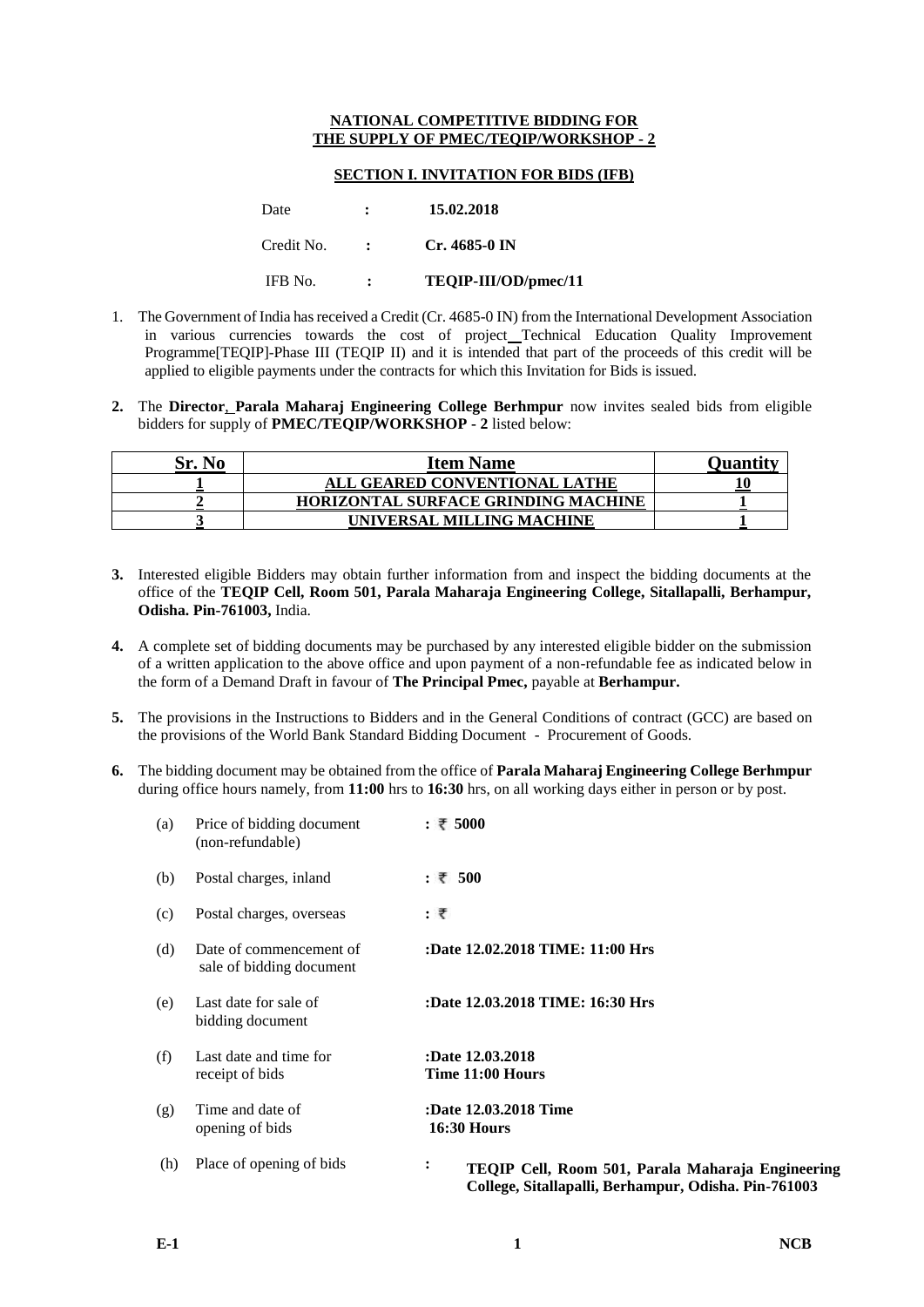## **NATIONAL COMPETITIVE BIDDING FOR THE SUPPLY OF PMEC/TEQIP/WORKSHOP - 2**

## **SECTION I. INVITATION FOR BIDS (IFB)**

| Date       | $\mathbf{r}$         | 15.02.2018           |
|------------|----------------------|----------------------|
| Credit No. | $\sim$ 100 $\sim$    | $Cr.4685-0$ IN       |
| IFB No.    | $\ddot{\phantom{a}}$ | TEQIP-III/OD/pmec/11 |

- 1. The Government of India has received a Credit (Cr. 4685-0 IN) from the International Development Association in various currencies towards the cost of project Technical Education Quality Improvement Programme[TEQIP]-Phase III (TEQIP II) and it is intended that part of the proceeds of this credit will be applied to eligible payments under the contracts for which this Invitation for Bids is issued.
- **2.** The **Director**, **Parala Maharaj Engineering College Berhmpur** now invites sealed bids from eligible bidders for supply of **PMEC/TEQIP/WORKSHOP - 2** listed below:

| Sr. No | <b>Item Name</b>                           | Ouantity |
|--------|--------------------------------------------|----------|
|        | ALL GEARED CONVENTIONAL LATHE              |          |
|        | <b>HORIZONTAL SURFACE GRINDING MACHINE</b> |          |
|        | UNIVERSAL MILLING MACHINE                  |          |

- **3.** Interested eligible Bidders may obtain further information from and inspect the bidding documents at the office of the **TEQIP Cell, Room 501, Parala Maharaja Engineering College, Sitallapalli, Berhampur, Odisha. Pin-761003,** India.
- **4.** A complete set of bidding documents may be purchased by any interested eligible bidder on the submission of a written application to the above office and upon payment of a non-refundable fee as indicated below in the form of a Demand Draft in favour of **The Principal Pmec,** payable at **Berhampur.**
- **5.** The provisions in the Instructions to Bidders and in the General Conditions of contract (GCC) are based on the provisions of the World Bank Standard Bidding Document - Procurement of Goods.
- **6.** The bidding document may be obtained from the office of **Parala Maharaj Engineering College Berhmpur**  during office hours namely, from **11:00** hrs to **16:30** hrs, on all working days either in person or by post.

| (a) | Price of bidding document<br>(non-refundable)       | : ₹ 5000                                                                                                       |
|-----|-----------------------------------------------------|----------------------------------------------------------------------------------------------------------------|
| (b) | Postal charges, inland                              | : ₹ 500                                                                                                        |
| (c) | Postal charges, overseas                            | : ₹                                                                                                            |
| (d) | Date of commencement of<br>sale of bidding document | :Date 12.02.2018 TIME: 11:00 Hrs                                                                               |
| (e) | Last date for sale of<br>bidding document           | :Date 12.03.2018 TIME: 16:30 Hrs                                                                               |
| (f) | Last date and time for<br>receipt of bids           | :Date 12.03.2018<br>Time 11:00 Hours                                                                           |
| (g) | Time and date of<br>opening of bids                 | :Date 12.03.2018 Time<br><b>16:30 Hours</b>                                                                    |
| (h) | Place of opening of bids                            | ፡<br>TEQIP Cell, Room 501, Parala Maharaja Engineering<br>College, Sitallapalli, Berhampur, Odisha. Pin-761003 |